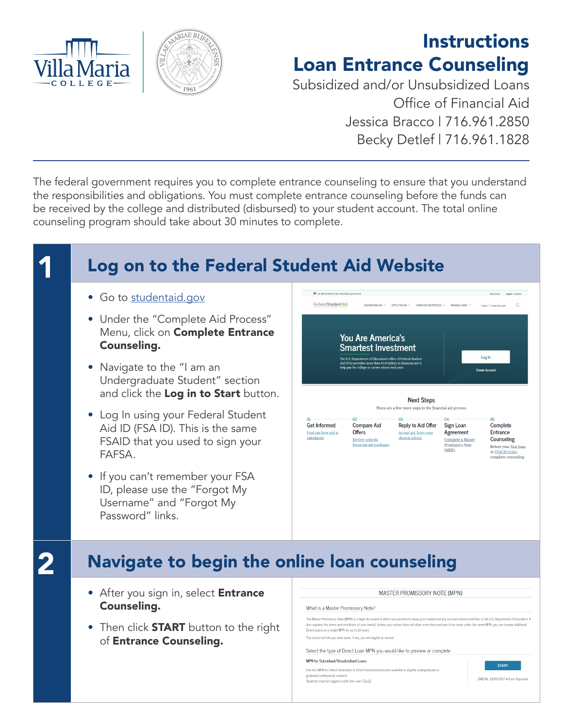



## **Instructions** Loan Entrance Counseling

Subsidized and/or Unsubsidized Loans Office of Financial Aid Jessica Bracco | 716.961.2850 Becky Detlef | 716.961.1828

The federal government requires you to complete entrance counseling to ensure that you understand the responsibilities and obligations. You must complete entrance counseling before the funds can be received by the college and distributed (disbursed) to your student account. The total online counseling program should take about 30 minutes to complete.

## Log on to the Federal Student Aid Website **CONTRACTOR** • Go to [studentaid.gov](http://studentaid.gov) Federal Student Aid COMPLETE AID PROCESS  $\vee$  MANAGE LOANS  $\vee$ Lorin L. Creste Are • Under the "Complete Aid Process" Menu, click on **Complete Entrance** You Are America's Counseling. **Smartest Investment** Log In .<br>The U.S. Department of Education's office of Fe<br>Aid (FSA) provides more than \$120 billion in fi • Navigate to the "I am an Undergraduate Student" section and click the Log in to Start button. **Next Steps** There are a few more steps in the financial aid process. • Log In using your Federal Student **Get Informed** Compare Aid Reply to Aid Offer Sign Loan Complete Aid ID (FSA ID). This is the same Find out how aid is Offers Accept aid from your Agreement Entrance calculated. chosen school. Counseling Review schools' Complete a Master FSAID that you used to sign your Before your first loan<br>or TEACH Grant,<br>complete counseling. financial aid packages. **Promissory Note** (MPN). FAFSA. • If you can't remember your FSA ID, please use the "Forgot My Username" and "Forgot My Password" links. **2** Navigate to begin the online loan counseling • After you sign in, select Entrance MASTER PROMISSORY NOTE (MPN) Counseling. What is a Master Promissory Note? The Master Promissory Note (MPN) is a legal document in which you promise to repay your loan(s) and any accrued interest and fees to the U.S. Department of Education. It also explains the terms and conditions of your loan(s). Unless your school does not allow more than one loan to be made under the same MPN, you can borrow additionally a state of the same MPN, you can borrow additionally • Then click **START** button to the right Direct Loans on a single MPN for up to 10 years. The school will tell you what loans, if any, you are eligible to receive. of Entrance Counseling. Select the type of Direct Loan MPN you would like to preview or complete MPN for Subsidized/Unsubsidized Loans **START** Use this MPN for Direct Subsidized or Direct Unsubsidized Loans available to eligible undergraduate o graduate/professional students OMB No. 1845-0007 . Form Approved Students must be logged in with their own FSA ID.